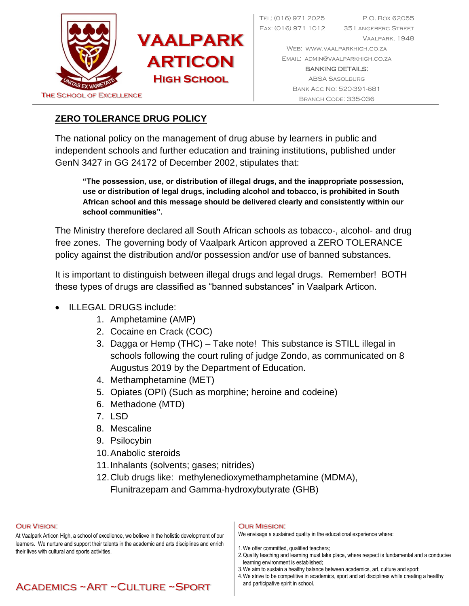

Tel: (016) 971 2025 P.O. Box 62055 Fax: (016) 971 1012 35 Langeberg Street Vaalpark, 1948 Web: [www.vaalparkhigh.co.za](http://www.vaalparkhigh.co.za/)

Email: [admin@vaalparkhigh.co.za](mailto:admin@vaalparkhigh.co.za)

BANKING DETAILS: ABSA Sasolburg Bank Acc No: 520-391-681

### **ZERO TOLERANCE DRUG POLICY**

The national policy on the management of drug abuse by learners in public and independent schools and further education and training institutions, published under GenN 3427 in GG 24172 of December 2002, stipulates that:

**"The possession, use, or distribution of illegal drugs, and the inappropriate possession, use or distribution of legal drugs, including alcohol and tobacco, is prohibited in South African school and this message should be delivered clearly and consistently within our school communities".**

The Ministry therefore declared all South African schools as tobacco-, alcohol- and drug free zones. The governing body of Vaalpark Articon approved a ZERO TOLERANCE policy against the distribution and/or possession and/or use of banned substances.

It is important to distinguish between illegal drugs and legal drugs. Remember! BOTH these types of drugs are classified as "banned substances" in Vaalpark Articon.

- ILLEGAL DRUGS include:
	- 1. Amphetamine (AMP)
	- 2. Cocaine en Crack (COC)
	- 3. Dagga or Hemp (THC) Take note! This substance is STILL illegal in schools following the court ruling of judge Zondo, as communicated on 8 Augustus 2019 by the Department of Education.
	- 4. Methamphetamine (MET)
	- 5. Opiates (OPI) (Such as morphine; heroine and codeine)
	- 6. Methadone (MTD)
	- 7. LSD
	- 8. Mescaline
	- 9. Psilocybin
	- 10.Anabolic steroids
	- 11.Inhalants (solvents; gases; nitrides)
	- 12.Club drugs like: methylenedioxymethamphetamine (MDMA),
		- Flunitrazepam and Gamma-hydroxybutyrate (GHB)

#### Our Vision:

At Vaalpark Articon High, a school of excellence, we believe in the holistic development of our learners. We nurture and support their talents in the academic and arts disciplines and enrich their lives with cultural and sports activities.

#### Our Mission:

We envisage a sustained quality in the educational experience where:

- 1.We offer committed, qualified teachers;
- 2.Quality teaching and learning must take place, where respect is fundamental and a conducive learning environment is established;
	- 3.We aim to sustain a healthy balance between academics, art, culture and sport;
	- 4.We strive to be competitive in academics, sport and art disciplines while creating a healthy and participative spirit in school.

# Academics ~Art ~Culture ~Sport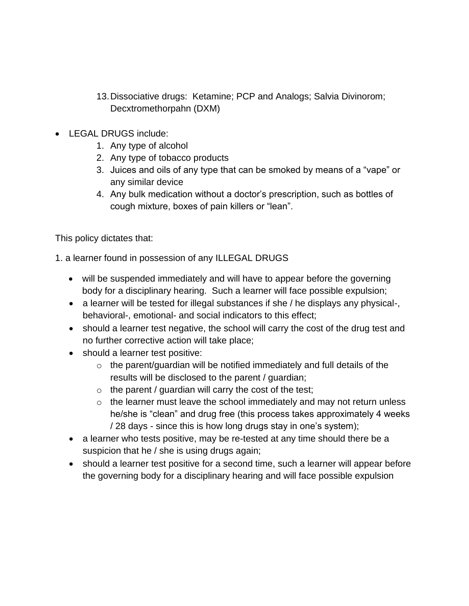- 13.Dissociative drugs: Ketamine; PCP and Analogs; Salvia Divinorom; Decxtromethorpahn (DXM)
- LEGAL DRUGS include:
	- 1. Any type of alcohol
	- 2. Any type of tobacco products
	- 3. Juices and oils of any type that can be smoked by means of a "vape" or any similar device
	- 4. Any bulk medication without a doctor's prescription, such as bottles of cough mixture, boxes of pain killers or "lean".

This policy dictates that:

1. a learner found in possession of any ILLEGAL DRUGS

- will be suspended immediately and will have to appear before the governing body for a disciplinary hearing. Such a learner will face possible expulsion;
- a learner will be tested for illegal substances if she / he displays any physical-, behavioral-, emotional- and social indicators to this effect;
- should a learner test negative, the school will carry the cost of the drug test and no further corrective action will take place;
- should a learner test positive:
	- o the parent/guardian will be notified immediately and full details of the results will be disclosed to the parent / guardian;
	- $\circ$  the parent / guardian will carry the cost of the test;
	- $\circ$  the learner must leave the school immediately and may not return unless he/she is "clean" and drug free (this process takes approximately 4 weeks / 28 days - since this is how long drugs stay in one's system);
- a learner who tests positive, may be re-tested at any time should there be a suspicion that he / she is using drugs again;
- should a learner test positive for a second time, such a learner will appear before the governing body for a disciplinary hearing and will face possible expulsion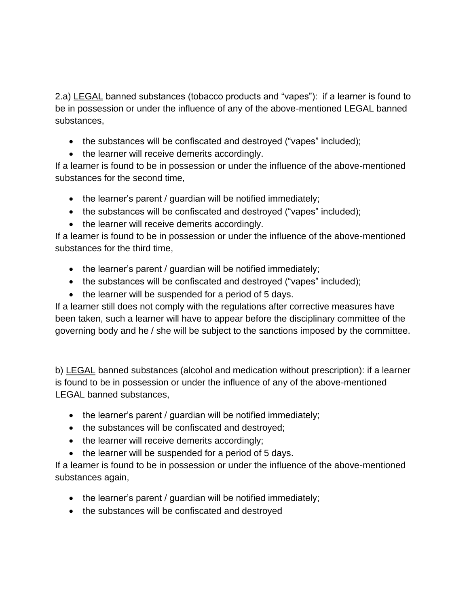2.a) LEGAL banned substances (tobacco products and "vapes"): if a learner is found to be in possession or under the influence of any of the above-mentioned LEGAL banned substances,

- the substances will be confiscated and destroyed ("vapes" included);
- the learner will receive demerits accordingly.

If a learner is found to be in possession or under the influence of the above-mentioned substances for the second time,

- the learner's parent / guardian will be notified immediately;
- the substances will be confiscated and destroyed ("vapes" included);
- the learner will receive demerits accordingly.

If a learner is found to be in possession or under the influence of the above-mentioned substances for the third time,

- the learner's parent / guardian will be notified immediately;
- the substances will be confiscated and destroyed ("vapes" included);
- the learner will be suspended for a period of 5 days.

If a learner still does not comply with the regulations after corrective measures have been taken, such a learner will have to appear before the disciplinary committee of the governing body and he / she will be subject to the sanctions imposed by the committee.

b) LEGAL banned substances (alcohol and medication without prescription): if a learner is found to be in possession or under the influence of any of the above-mentioned LEGAL banned substances,

- the learner's parent / guardian will be notified immediately;
- the substances will be confiscated and destroyed;
- the learner will receive demerits accordingly;
- the learner will be suspended for a period of 5 days.

If a learner is found to be in possession or under the influence of the above-mentioned substances again,

- the learner's parent / guardian will be notified immediately;
- the substances will be confiscated and destroyed